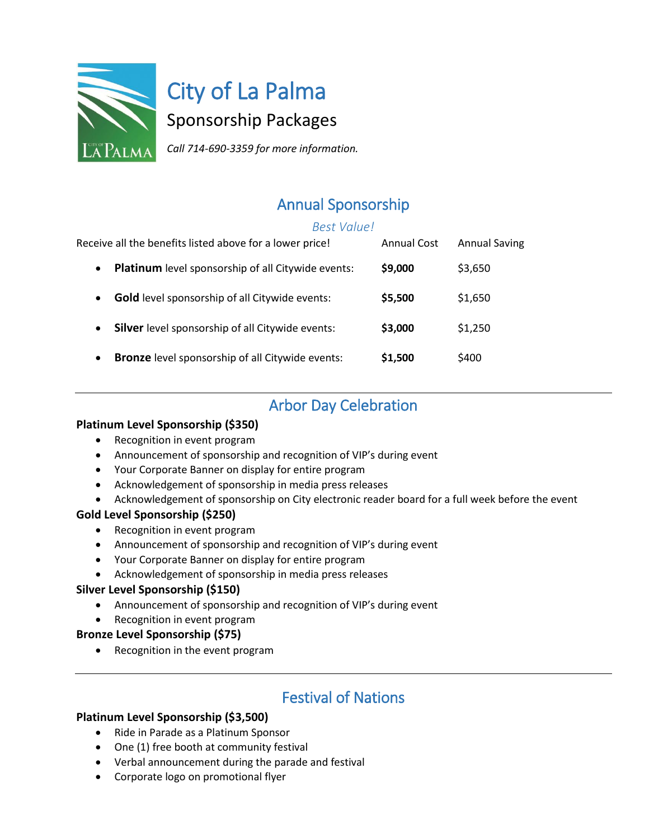

# Annual Sponsorship

### *Best Value!*

| Receive all the benefits listed above for a lower price!             | <b>Annual Cost</b> | <b>Annual Saving</b> |
|----------------------------------------------------------------------|--------------------|----------------------|
| Platinum level sponsorship of all Citywide events:<br>$\bullet$      | \$9,000            | \$3,650              |
| <b>Gold</b> level sponsorship of all Citywide events:<br>$\bullet$   | \$5,500            | \$1,650              |
| <b>Silver</b> level sponsorship of all Citywide events:<br>$\bullet$ | \$3,000            | \$1,250              |
| <b>Bronze</b> level sponsorship of all Citywide events:<br>$\bullet$ | \$1,500            | \$400                |

## Arbor Day Celebration

#### **Platinum Level Sponsorship (\$350)**

- Recognition in event program
- Announcement of sponsorship and recognition of VIP's during event
- Your Corporate Banner on display for entire program
- Acknowledgement of sponsorship in media press releases
- Acknowledgement of sponsorship on City electronic reader board for a full week before the event

## **Gold Level Sponsorship (\$250)**

- Recognition in event program
- Announcement of sponsorship and recognition of VIP's during event
- Your Corporate Banner on display for entire program
- Acknowledgement of sponsorship in media press releases

## **Silver Level Sponsorship (\$150)**

- Announcement of sponsorship and recognition of VIP's during event
- Recognition in event program

## **Bronze Level Sponsorship (\$75)**

• Recognition in the event program

# Festival of Nations

## **Platinum Level Sponsorship (\$3,500)**

- Ride in Parade as a Platinum Sponsor
- One (1) free booth at community festival
- Verbal announcement during the parade and festival
- Corporate logo on promotional flyer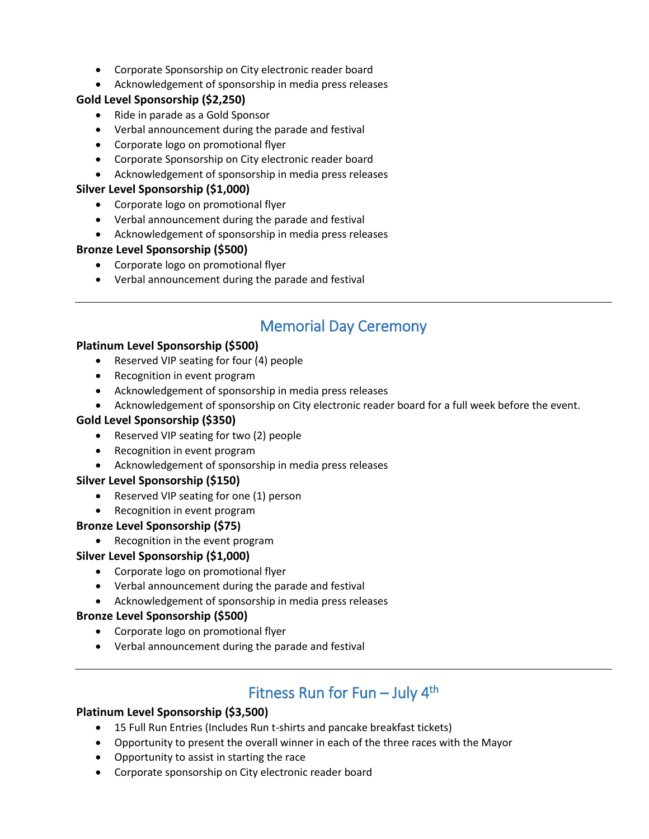- Corporate Sponsorship on City electronic reader board
- Acknowledgement of sponsorship in media press releases

## **Gold Level Sponsorship (\$2,250)**

- Ride in parade as a Gold Sponsor
- Verbal announcement during the parade and festival
- Corporate logo on promotional flyer
- Corporate Sponsorship on City electronic reader board
- Acknowledgement of sponsorship in media press releases

### **Silver Level Sponsorship (\$1,000)**

- Corporate logo on promotional flyer
- Verbal announcement during the parade and festival
- Acknowledgement of sponsorship in media press releases

### **Bronze Level Sponsorship (\$500)**

- Corporate logo on promotional flyer
- Verbal announcement during the parade and festival

## Memorial Day Ceremony

### **Platinum Level Sponsorship (\$500)**

- Reserved VIP seating for four (4) people
- Recognition in event program
- Acknowledgement of sponsorship in media press releases
- Acknowledgement of sponsorship on City electronic reader board for a full week before the event.

## **Gold Level Sponsorship (\$350)**

- Reserved VIP seating for two (2) people
- Recognition in event program
- Acknowledgement of sponsorship in media press releases

## **Silver Level Sponsorship (\$150)**

- Reserved VIP seating for one (1) person
- Recognition in event program

#### **Bronze Level Sponsorship (\$75)**

Recognition in the event program

## **Silver Level Sponsorship (\$1,000)**

- Corporate logo on promotional flyer
- Verbal announcement during the parade and festival
- Acknowledgement of sponsorship in media press releases

## **Bronze Level Sponsorship (\$500)**

- Corporate logo on promotional flyer
- Verbal announcement during the parade and festival

## Fitness Run for Fun  $-$  July 4<sup>th</sup>

#### **Platinum Level Sponsorship (\$3,500)**

- 15 Full Run Entries (Includes Run t-shirts and pancake breakfast tickets)
- Opportunity to present the overall winner in each of the three races with the Mayor
- Opportunity to assist in starting the race
- Corporate sponsorship on City electronic reader board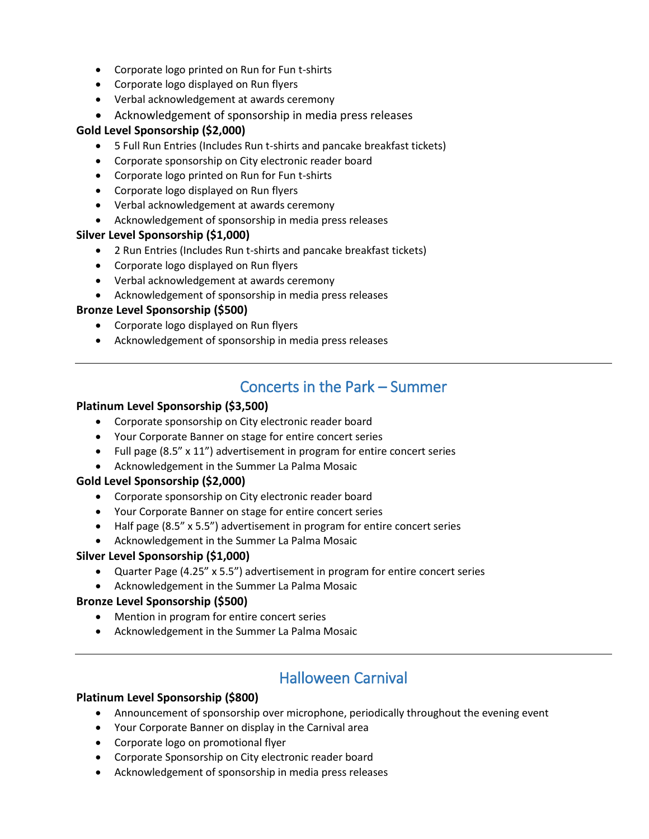- Corporate logo printed on Run for Fun t-shirts
- Corporate logo displayed on Run flyers
- Verbal acknowledgement at awards ceremony
- Acknowledgement of sponsorship in media press releases

## **Gold Level Sponsorship (\$2,000)**

- 5 Full Run Entries (Includes Run t-shirts and pancake breakfast tickets)
- Corporate sponsorship on City electronic reader board
- Corporate logo printed on Run for Fun t-shirts
- Corporate logo displayed on Run flyers
- Verbal acknowledgement at awards ceremony
- Acknowledgement of sponsorship in media press releases

### **Silver Level Sponsorship (\$1,000)**

- 2 Run Entries (Includes Run t-shirts and pancake breakfast tickets)
- Corporate logo displayed on Run flyers
- Verbal acknowledgement at awards ceremony
- Acknowledgement of sponsorship in media press releases

## **Bronze Level Sponsorship (\$500)**

- Corporate logo displayed on Run flyers
- Acknowledgement of sponsorship in media press releases

## Concerts in the Park – Summer

### **Platinum Level Sponsorship (\$3,500)**

- Corporate sponsorship on City electronic reader board
- Your Corporate Banner on stage for entire concert series
- Full page (8.5" x 11") advertisement in program for entire concert series
- Acknowledgement in the Summer La Palma Mosaic

## **Gold Level Sponsorship (\$2,000)**

- Corporate sponsorship on City electronic reader board
- Your Corporate Banner on stage for entire concert series
- Half page (8.5" x 5.5") advertisement in program for entire concert series
- Acknowledgement in the Summer La Palma Mosaic

## **Silver Level Sponsorship (\$1,000)**

- Quarter Page (4.25" x 5.5") advertisement in program for entire concert series
- Acknowledgement in the Summer La Palma Mosaic

#### **Bronze Level Sponsorship (\$500)**

- Mention in program for entire concert series
- Acknowledgement in the Summer La Palma Mosaic

## Halloween Carnival

#### **Platinum Level Sponsorship (\$800)**

- Announcement of sponsorship over microphone, periodically throughout the evening event
- Your Corporate Banner on display in the Carnival area
- Corporate logo on promotional flyer
- Corporate Sponsorship on City electronic reader board
- Acknowledgement of sponsorship in media press releases